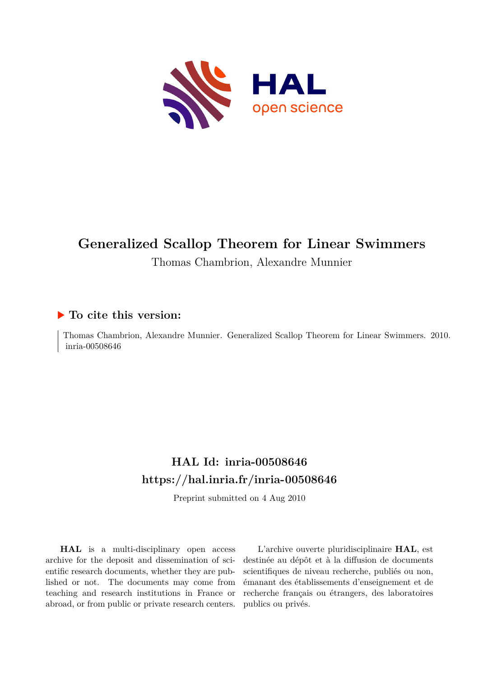

# **Generalized Scallop Theorem for Linear Swimmers**

Thomas Chambrion, Alexandre Munnier

### **To cite this version:**

Thomas Chambrion, Alexandre Munnier. Generalized Scallop Theorem for Linear Swimmers. 2010. inria-00508646

## **HAL Id: inria-00508646 <https://hal.inria.fr/inria-00508646>**

Preprint submitted on 4 Aug 2010

**HAL** is a multi-disciplinary open access archive for the deposit and dissemination of scientific research documents, whether they are published or not. The documents may come from teaching and research institutions in France or abroad, or from public or private research centers.

L'archive ouverte pluridisciplinaire **HAL**, est destinée au dépôt et à la diffusion de documents scientifiques de niveau recherche, publiés ou non, émanant des établissements d'enseignement et de recherche français ou étrangers, des laboratoires publics ou privés.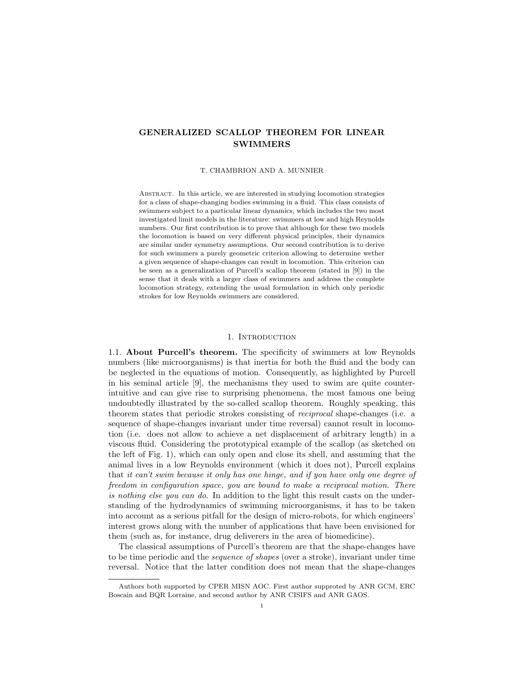#### GENERALIZED SCALLOP THEOREM FOR LINEAR **SWIMMERS**

#### T. CHAMBRION AND A. MUNNIER

Abstract. In this article, we are interested in studying locomotion strategies for a class of shape-changing bodies swimming in a fluid. This class consists of swimmers subject to a particular linear dynamics, which includes the two most investigated limit models in the literature: swimmers at low and high Reynolds numbers. Our first contribution is to prove that although for these two models the locomotion is based on very different physical principles, their dynamics are similar under symmetry assumptions. Our second contribution is to derive for such swimmers a purely geometric criterion allowing to determine wether a given sequence of shape-changes can result in locomotion. This criterion can be seen as a generalization of Purcell's scallop theorem (stated in [9]) in the sense that it deals with a larger class of swimmers and address the complete locomotion strategy, extending the usual formulation in which only periodic strokes for low Reynolds swimmers are considered.

#### 1. INTRODUCTION

1.1. About Purcell's theorem. The specificity of swimmers at low Reynolds numbers (like microorganisms) is that inertia for both the fluid and the body can be neglected in the equations of motion. Consequently, as highlighted by Purcell in his seminal article [9], the mechanisms they used to swim are quite counterintuitive and can give rise to surprising phenomena, the most famous one being undoubtedly illustrated by the so-called scallop theorem. Roughly speaking, this theorem states that periodic strokes consisting of reciprocal shape-changes (i.e. a sequence of shape-changes invariant under time reversal) cannot result in locomotion (i.e. does not allow to achieve a net displacement of arbitrary length) in a viscous fluid. Considering the prototypical example of the scallop (as sketched on the left of Fig. 1), which can only open and close its shell, and assuming that the animal lives in a low Reynolds environment (which it does not), Purcell explains that it can't swim because it only has one hinge, and if you have only one degree of freedom in configuration space, you are bound to make a reciprocal motion. There is nothing else you can do. In addition to the light this result casts on the understanding of the hydrodynamics of swimming microorganisms, it has to be taken into account as a serious pitfall for the design of micro-robots, for which engineers' interest grows along with the number of applications that have been envisioned for them (such as, for instance, drug deliverers in the area of biomedicine).

The classical assumptions of Purcell's theorem are that the shape-changes have to be time periodic and the sequence of shapes (over a stroke), invariant under time reversal. Notice that the latter condition does not mean that the shape-changes

Authors both supported by CPER MISN AOC. First author supproted by ANR GCM, ERC Boscain and BQR Lorraine, and second author by ANR CISIFS and ANR GAOS.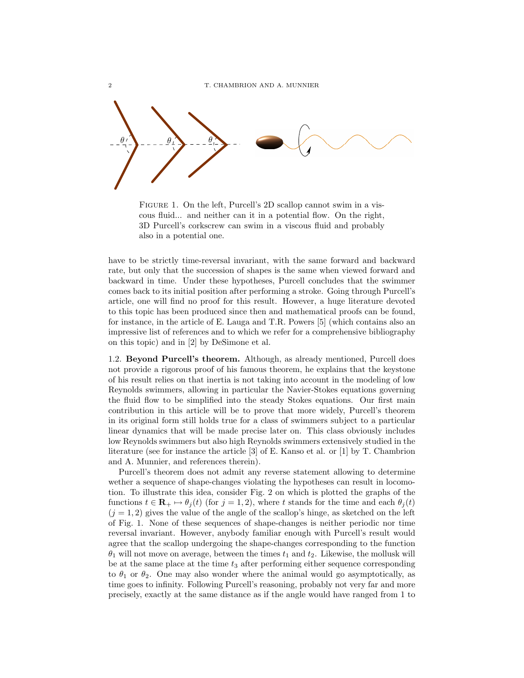

FIGURE 1. On the left, Purcell's 2D scallop cannot swim in a viscous fluid... and neither can it in a potential flow. On the right, 3D Purcell's corkscrew can swim in a viscous fluid and probably also in a potential one.

have to be strictly time-reversal invariant, with the same forward and backward rate, but only that the succession of shapes is the same when viewed forward and backward in time. Under these hypotheses, Purcell concludes that the swimmer comes back to its initial position after performing a stroke. Going through Purcell's article, one will find no proof for this result. However, a huge literature devoted to this topic has been produced since then and mathematical proofs can be found, for instance, in the article of E. Lauga and T.R. Powers [5] (which contains also an impressive list of references and to which we refer for a comprehensive bibliography on this topic) and in [2] by DeSimone et al.

1.2. Beyond Purcell's theorem. Although, as already mentioned, Purcell does not provide a rigorous proof of his famous theorem, he explains that the keystone of his result relies on that inertia is not taking into account in the modeling of low Reynolds swimmers, allowing in particular the Navier-Stokes equations governing the fluid flow to be simplified into the steady Stokes equations. Our first main contribution in this article will be to prove that more widely, Purcell's theorem in its original form still holds true for a class of swimmers subject to a particular linear dynamics that will be made precise later on. This class obviously includes low Reynolds swimmers but also high Reynolds swimmers extensively studied in the literature (see for instance the article [3] of E. Kanso et al. or [1] by T. Chambrion and A. Munnier, and references therein).

Purcell's theorem does not admit any reverse statement allowing to determine wether a sequence of shape-changes violating the hypotheses can result in locomotion. To illustrate this idea, consider Fig. 2 on which is plotted the graphs of the functions  $t \in \mathbf{R}_{+} \mapsto \theta_{j}(t)$  (for  $j = 1, 2$ ), where t stands for the time and each  $\theta_{j}(t)$  $(j = 1, 2)$  gives the value of the angle of the scallop's hinge, as sketched on the left of Fig. 1. None of these sequences of shape-changes is neither periodic nor time reversal invariant. However, anybody familiar enough with Purcell's result would agree that the scallop undergoing the shape-changes corresponding to the function  $\theta_1$  will not move on average, between the times  $t_1$  and  $t_2$ . Likewise, the mollusk will be at the same place at the time  $t_3$  after performing either sequence corresponding to  $\theta_1$  or  $\theta_2$ . One may also wonder where the animal would go asymptotically, as time goes to infinity. Following Purcell's reasoning, probably not very far and more precisely, exactly at the same distance as if the angle would have ranged from 1 to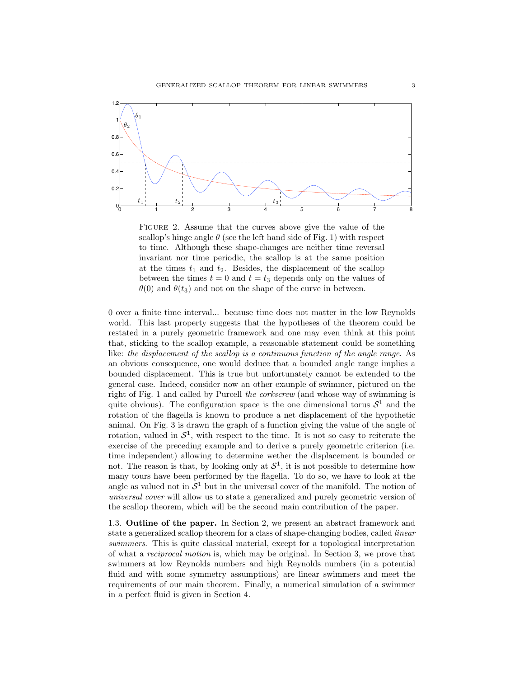

FIGURE 2. Assume that the curves above give the value of the scallop's hinge angle  $\theta$  (see the left hand side of Fig. 1) with respect to time. Although these shape-changes are neither time reversal invariant nor time periodic, the scallop is at the same position at the times  $t_1$  and  $t_2$ . Besides, the displacement of the scallop between the times  $t = 0$  and  $t = t_3$  depends only on the values of  $\theta(0)$  and  $\theta(t_3)$  and not on the shape of the curve in between.

0 over a finite time interval... because time does not matter in the low Reynolds world. This last property suggests that the hypotheses of the theorem could be restated in a purely geometric framework and one may even think at this point that, sticking to the scallop example, a reasonable statement could be something like: the displacement of the scallop is a continuous function of the angle range. As an obvious consequence, one would deduce that a bounded angle range implies a bounded displacement. This is true but unfortunately cannot be extended to the general case. Indeed, consider now an other example of swimmer, pictured on the right of Fig. 1 and called by Purcell the corkscrew (and whose way of swimming is quite obvious). The configuration space is the one dimensional torus  $S<sup>1</sup>$  and the rotation of the flagella is known to produce a net displacement of the hypothetic animal. On Fig. 3 is drawn the graph of a function giving the value of the angle of rotation, valued in  $S^1$ , with respect to the time. It is not so easy to reiterate the exercise of the preceding example and to derive a purely geometric criterion (i.e. time independent) allowing to determine wether the displacement is bounded or not. The reason is that, by looking only at  $S^1$ , it is not possible to determine how many tours have been performed by the flagella. To do so, we have to look at the angle as valued not in  $S<sup>1</sup>$  but in the universal cover of the manifold. The notion of universal cover will allow us to state a generalized and purely geometric version of the scallop theorem, which will be the second main contribution of the paper.

1.3. Outline of the paper. In Section 2, we present an abstract framework and state a generalized scallop theorem for a class of shape-changing bodies, called linear swimmers. This is quite classical material, except for a topological interpretation of what a reciprocal motion is, which may be original. In Section 3, we prove that swimmers at low Reynolds numbers and high Reynolds numbers (in a potential fluid and with some symmetry assumptions) are linear swimmers and meet the requirements of our main theorem. Finally, a numerical simulation of a swimmer in a perfect fluid is given in Section 4.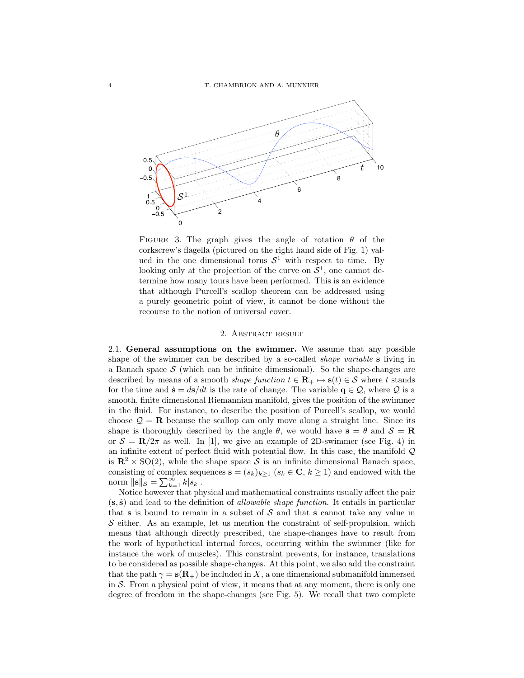

FIGURE 3. The graph gives the angle of rotation  $\theta$  of the corkscrew's flagella (pictured on the right hand side of Fig. 1) valued in the one dimensional torus  $S^1$  with respect to time. By looking only at the projection of the curve on  $S^1$ , one cannot determine how many tours have been performed. This is an evidence that although Purcell's scallop theorem can be addressed using a purely geometric point of view, it cannot be done without the recourse to the notion of universal cover.

#### 2. Abstract result

2.1. General assumptions on the swimmer. We assume that any possible shape of the swimmer can be described by a so-called *shape variable* s living in a Banach space  $S$  (which can be infinite dimensional). So the shape-changes are described by means of a smooth *shape function*  $t \in \mathbf{R}_+ \mapsto \mathbf{s}(t) \in \mathcal{S}$  where t stands for the time and  $\dot{\mathbf{s}} = d\mathbf{s}/dt$  is the rate of change. The variable  $\mathbf{q} \in \mathcal{Q}$ , where  $\mathcal Q$  is a smooth, finite dimensional Riemannian manifold, gives the position of the swimmer in the fluid. For instance, to describe the position of Purcell's scallop, we would choose  $\mathcal{Q} = \mathbf{R}$  because the scallop can only move along a straight line. Since its shape is thoroughly described by the angle  $\theta$ , we would have  $s = \theta$  and  $S = \mathbf{R}$ or  $S = \mathbb{R}/2\pi$  as well. In [1], we give an example of 2D-swimmer (see Fig. 4) in an infinite extent of perfect fluid with potential flow. In this case, the manifold  $\mathcal Q$ is  $\mathbb{R}^2 \times SO(2)$ , while the shape space S is an infinite dimensional Banach space, consisting of complex sequences  $\mathbf{s} = (s_k)_{k\geq 1}$   $(s_k \in \mathbf{C}, k \geq 1)$  and endowed with the norm  $\|\mathbf{s}\|_{\mathcal{S}} = \sum_{k=1}^{\infty} k |s_k|.$ 

Notice however that physical and mathematical constraints usually affect the pair  $(s, \dot{s})$  and lead to the definition of *allowable shape function*. It entails in particular that s is bound to remain in a subset of  $S$  and that s cannot take any value in  $S$  either. As an example, let us mention the constraint of self-propulsion, which means that although directly prescribed, the shape-changes have to result from the work of hypothetical internal forces, occurring within the swimmer (like for instance the work of muscles). This constraint prevents, for instance, translations to be considered as possible shape-changes. At this point, we also add the constraint that the path  $\gamma = s(R_+)$  be included in X, a one dimensional submanifold immersed in  $S$ . From a physical point of view, it means that at any moment, there is only one degree of freedom in the shape-changes (see Fig. 5). We recall that two complete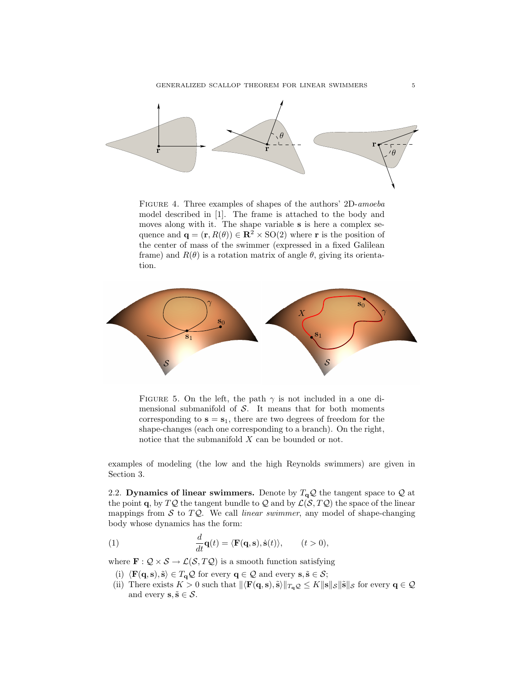

Figure 4. Three examples of shapes of the authors' 2D-amoeba model described in [1]. The frame is attached to the body and moves along with it. The shape variable s is here a complex sequence and  $\mathbf{q} = (\mathbf{r}, R(\theta)) \in \mathbb{R}^2 \times SO(2)$  where r is the position of the center of mass of the swimmer (expressed in a fixed Galilean frame) and  $R(\theta)$  is a rotation matrix of angle  $\theta$ , giving its orientation.



FIGURE 5. On the left, the path  $\gamma$  is not included in a one dimensional submanifold of  $S$ . It means that for both moments corresponding to  $s = s_1$ , there are two degrees of freedom for the shape-changes (each one corresponding to a branch). On the right, notice that the submanifold X can be bounded or not.

examples of modeling (the low and the high Reynolds swimmers) are given in Section 3.

2.2. Dynamics of linear swimmers. Denote by  $T_{q}Q$  the tangent space to  $Q$  at the point q, by  $TQ$  the tangent bundle to Q and by  $\mathcal{L}(\mathcal{S}, TQ)$  the space of the linear mappings from  $S$  to  $TQ$ . We call linear swimmer, any model of shape-changing body whose dynamics has the form:

(1) 
$$
\frac{d}{dt}\mathbf{q}(t) = \langle \mathbf{F}(\mathbf{q}, \mathbf{s}), \dot{\mathbf{s}}(t) \rangle, \qquad (t > 0),
$$

where  $\mathbf{F} : \mathcal{Q} \times \mathcal{S} \to \mathcal{L}(\mathcal{S}, T\mathcal{Q})$  is a smooth function satisfying

- (i)  $\langle \mathbf{F}(\mathbf{q}, \mathbf{s}), \tilde{\mathbf{s}} \rangle \in T_{\mathbf{q}} \mathcal{Q}$  for every  $\mathbf{q} \in \mathcal{Q}$  and every  $\mathbf{s}, \tilde{\mathbf{s}} \in \mathcal{S}$ ;
- (ii) There exists  $K > 0$  such that  $\|\langle \mathbf{F}(\mathbf{q}, \mathbf{s}), \tilde{\mathbf{s}}\rangle\|_{T_q Q} \leq K \|\mathbf{s}\|_{\mathcal{S}} \|\tilde{\mathbf{s}}\|_{\mathcal{S}}$  for every  $\mathbf{q} \in \mathcal{Q}$ and every  $\mathbf{s}, \tilde{\mathbf{s}} \in \mathcal{S}$ .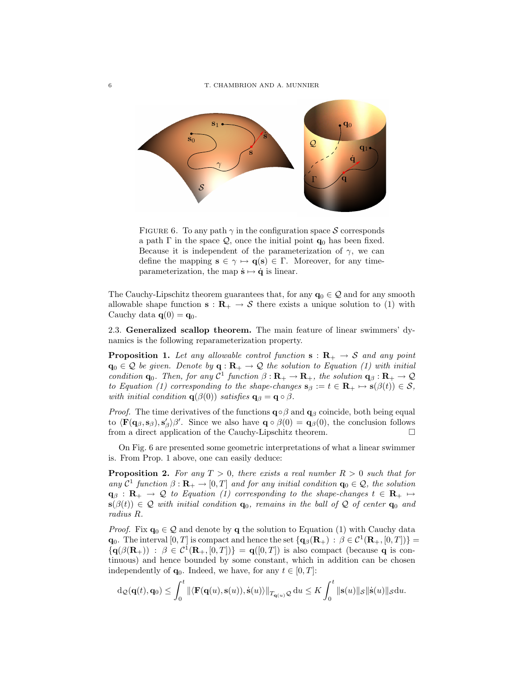

FIGURE 6. To any path  $\gamma$  in the configuration space S corresponds a path  $\Gamma$  in the space  $\mathcal{Q}$ , once the initial point  $\mathbf{q}_0$  has been fixed. Because it is independent of the parameterization of  $\gamma$ , we can define the mapping  $\mathbf{s} \in \gamma \mapsto \mathbf{q}(\mathbf{s}) \in \Gamma$ . Moreover, for any timeparameterization, the map  $\dot{\mathbf{s}} \mapsto \dot{\mathbf{q}}$  is linear.

The Cauchy-Lipschitz theorem guarantees that, for any  $q_0 \in \mathcal{Q}$  and for any smooth allowable shape function  $s : \mathbf{R}_{+} \to \mathcal{S}$  there exists a unique solution to (1) with Cauchy data  $\mathbf{q}(0) = \mathbf{q}_0$ .

2.3. Generalized scallop theorem. The main feature of linear swimmers' dynamics is the following reparameterization property.

**Proposition 1.** Let any allowable control function  $s : R_+ \to S$  and any point  $\mathbf{q}_0 \in \mathcal{Q}$  be given. Denote by  $\mathbf{q} : \mathbf{R}_+ \to \mathcal{Q}$  the solution to Equation (1) with initial condition  $\mathbf{q}_0$ . Then, for any  $C^1$  function  $\beta : \mathbf{R}_+ \to \mathbf{R}_+$ , the solution  $\mathbf{q}_{\beta} : \mathbf{R}_+ \to \mathcal{Q}$ to Equation (1) corresponding to the shape-changes  $\mathbf{s}_{\beta} := t \in \mathbf{R}_{+} \mapsto \mathbf{s}(\beta(t)) \in \mathcal{S}$ , with initial condition  $q(\beta(0))$  satisfies  $q_\beta = q \circ \beta$ .

*Proof.* The time derivatives of the functions  $\mathbf{q} \circ \beta$  and  $\mathbf{q}_{\beta}$  coincide, both being equal to  $\langle \mathbf{F}(\mathbf{q}_{\beta}, \mathbf{s}_{\beta}), \mathbf{s}'_{\beta} \rangle \beta'$ . Since we also have  $\mathbf{q} \circ \beta(0) = \mathbf{q}_{\beta}(0)$ , the conclusion follows from a direct application of the Cauchy-Lipschitz theorem.

On Fig. 6 are presented some geometric interpretations of what a linear swimmer is. From Prop. 1 above, one can easily deduce:

**Proposition 2.** For any  $T > 0$ , there exists a real number  $R > 0$  such that for any  $C^1$  function  $\beta : \mathbf{R}_+ \to [0, T]$  and for any initial condition  $\mathbf{q}_0 \in \mathcal{Q}$ , the solution  $\mathbf{q}_{\beta} : \mathbf{R}_{+} \to \mathcal{Q}$  to Equation (1) corresponding to the shape-changes  $t \in \mathbf{R}_{+} \mapsto$  $s(\beta(t)) \in \mathcal{Q}$  with initial condition  $q_0$ , remains in the ball of  $\mathcal{Q}$  of center  $q_0$  and radius R.

*Proof.* Fix  $\mathbf{q}_0 \in \mathcal{Q}$  and denote by q the solution to Equation (1) with Cauchy data  $\mathbf{q}_0$ . The interval  $[0, T]$  is compact and hence the set  $\{ \mathbf{q}_{\beta}(\mathbf{R}_{+}) : \beta \in C^1(\mathbf{R}_{+}, [0, T]) \} =$  $\{q(\beta(\mathbf{R}_{+})) : \beta \in C^1(\mathbf{R}_{+}, [0, T])\} = q([0, T])$  is also compact (because q is continuous) and hence bounded by some constant, which in addition can be chosen independently of  $\mathbf{q}_0$ . Indeed, we have, for any  $t \in [0, T]$ :

$$
\mathrm{d}_{\mathcal{Q}}(\mathbf{q}(t),\mathbf{q}_0)\leq \int_0^t \|\langle \mathbf{F}(\mathbf{q}(u),\mathbf{s}(u)),\dot{\mathbf{s}}(u)\rangle\|_{T_{\mathbf{q}(u)}\mathcal{Q}}\,\mathrm{d}u\leq K\int_0^t \|\mathbf{s}(u)\|_{\mathcal{S}}\|\dot{\mathbf{s}}(u)\|_{\mathcal{S}}\mathrm{d}u.
$$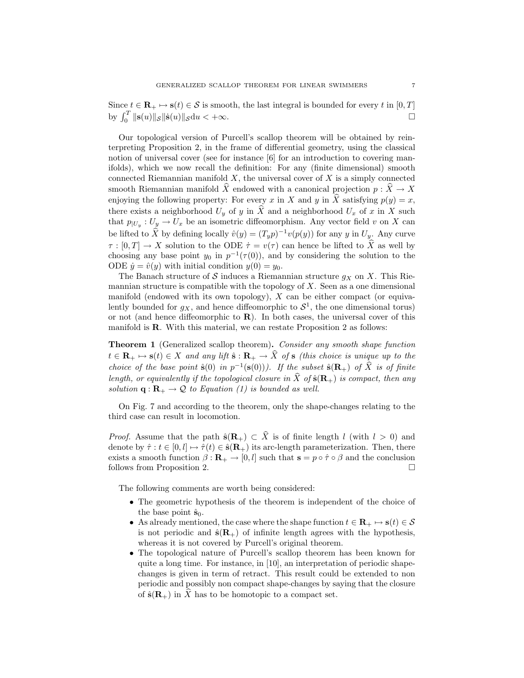Since  $t \in \mathbf{R}_+ \mapsto \mathbf{s}(t) \in \mathcal{S}$  is smooth, the last integral is bounded for every t in [0, T] by  $\int_0^T ||\mathbf{s}(u)||_{\mathcal{S}} ||\dot{\mathbf{s}}(u)||_{\mathcal{S}} du < +\infty.$ 

Our topological version of Purcell's scallop theorem will be obtained by reinterpreting Proposition 2, in the frame of differential geometry, using the classical notion of universal cover (see for instance [6] for an introduction to covering manifolds), which we now recall the definition: For any (finite dimensional) smooth connected Riemannian manifold  $X$ , the universal cover of  $X$  is a simply connected smooth Riemannian manifold  $\widehat{X}$  endowed with a canonical projection  $p : \widehat{X} \to X$ enjoying the following property: For every x in X and y in  $\hat{X}$  satisfying  $p(y) = x$ , there exists a neighborhood  $U_y$  of y in  $\widehat{X}$  and a neighborhood  $U_x$  of x in X such that  $p_{|U_y}: U_y \to U_x$  be an isometric diffeomorphism. Any vector field v on X can be lifted to  $\hat{X}$  by defining locally  $\hat{v}(y) = (T_y p)^{-1} v(p(y))$  for any y in  $U_y$ . Any curve  $\tau : [0, T] \to X$  solution to the ODE  $\dot{\tau} = v(\tau)$  can hence be lifted to  $\hat{X}$  as well by choosing any base point  $y_0$  in  $p^{-1}(\tau(0))$ , and by considering the solution to the ODE  $\dot{y} = \hat{v}(y)$  with initial condition  $y(0) = y_0$ .

The Banach structure of S induces a Riemannian structure  $g_X$  on X. This Riemannian structure is compatible with the topology of  $X$ . Seen as a one dimensional manifold (endowed with its own topology),  $X$  can be either compact (or equivalently bounded for  $g_X$ , and hence diffeomorphic to  $S^1$ , the one dimensional torus) or not (and hence diffeomorphic to **). In both cases, the universal cover of this** manifold is **. With this material, we can restate Proposition 2 as follows:** 

Theorem 1 (Generalized scallop theorem). Consider any smooth shape function  $t \in \mathbf{R}_+ \mapsto \mathbf{s}(t) \in X$  and any lift  $\hat{\mathbf{s}} : \mathbf{R}_+ \to \hat{X}$  of  $\mathbf{s}$  (this choice is unique up to the choice of the base point  $\hat{\mathbf{s}}(0)$  in  $p^{-1}(\mathbf{s}(0))$ ). If the subset  $\hat{\mathbf{s}}(\mathbf{R}_{+})$  of  $\hat{X}$  is of finite length, or equivalently if the topological closure in  $\tilde{X}$  of  $\hat{\mathbf{s}}(\mathbf{R}_{+})$  is compact, then any solution  $\mathbf{q} : \mathbf{R}_{+} \to \mathcal{Q}$  to Equation (1) is bounded as well.

On Fig. 7 and according to the theorem, only the shape-changes relating to the third case can result in locomotion.

*Proof.* Assume that the path  $\hat{\mathbf{s}}(\mathbf{R}_+) \subset \hat{X}$  is of finite length l (with  $l > 0$ ) and denote by  $\hat{\tau}: t \in [0, l] \mapsto \hat{\tau}(t) \in \hat{\mathbf{s}}(\mathbf{R}_+)$  its arc-length parameterization. Then, there exists a smooth function  $\beta : \mathbf{R}_{+} \to [0, l]$  such that  $\mathbf{s} = p \circ \hat{\tau} \circ \beta$  and the conclusion follows from Proposition 2.

The following comments are worth being considered:

- The geometric hypothesis of the theorem is independent of the choice of the base point  $\hat{\mathbf{s}}_0$ .
- As already mentioned, the case where the shape function  $t \in \mathbf{R}_+ \mapsto \mathbf{s}(t) \in \mathcal{S}$ is not periodic and  $\hat{\mathbf{s}}(\mathbf{R}_+)$  of infinite length agrees with the hypothesis, whereas it is not covered by Purcell's original theorem.
- The topological nature of Purcell's scallop theorem has been known for quite a long time. For instance, in [10], an interpretation of periodic shapechanges is given in term of retract. This result could be extended to non periodic and possibly non compact shape-changes by saying that the closure of  $\hat{\mathbf{s}}(\mathbf{R}_{+})$  in X has to be homotopic to a compact set.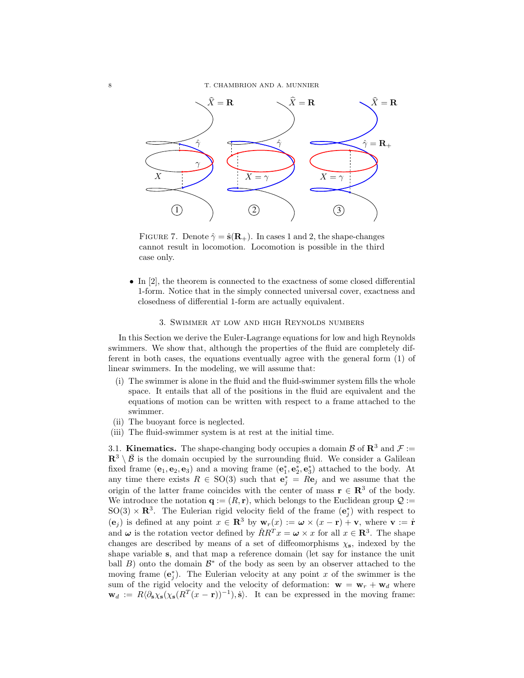

FIGURE 7. Denote  $\hat{\gamma} = \hat{\mathbf{s}}(\mathbf{R}_+)$ . In cases 1 and 2, the shape-changes cannot result in locomotion. Locomotion is possible in the third case only.

• In [2], the theorem is connected to the exactness of some closed differential 1-form. Notice that in the simply connected universal cover, exactness and closedness of differential 1-form are actually equivalent.

#### 3. Swimmer at low and high Reynolds numbers

In this Section we derive the Euler-Lagrange equations for low and high Reynolds swimmers. We show that, although the properties of the fluid are completely different in both cases, the equations eventually agree with the general form (1) of linear swimmers. In the modeling, we will assume that:

- (i) The swimmer is alone in the fluid and the fluid-swimmer system fills the whole space. It entails that all of the positions in the fluid are equivalent and the equations of motion can be written with respect to a frame attached to the swimmer.
- (ii) The buoyant force is neglected.
- (iii) The fluid-swimmer system is at rest at the initial time.

3.1. **Kinematics.** The shape-changing body occupies a domain  $\mathcal{B}$  of  $\mathbb{R}^3$  and  $\mathcal{F} :=$  $\mathbb{R}^3 \setminus \mathcal{B}$  is the domain occupied by the surrounding fluid. We consider a Galilean fixed frame  $(e_1, e_2, e_3)$  and a moving frame  $(e_1^*, e_2^*, e_3^*)$  attached to the body. At any time there exists  $R \in SO(3)$  such that  $e_j^* = Re_j$  and we assume that the origin of the latter frame coincides with the center of mass  $\mathbf{r} \in \mathbb{R}^3$  of the body. We introduce the notation  $\mathbf{q} := (R, \mathbf{r})$ , which belongs to the Euclidean group  $\mathcal{Q} :=$  $SO(3) \times \mathbb{R}^3$ . The Eulerian rigid velocity field of the frame  $(\mathbf{e}_j^*)$  with respect to  $(e_i)$  is defined at any point  $x \in \mathbb{R}^3$  by  $w_r(x) := \omega \times (x - r) + v$ , where  $v := \dot{r}$ and  $\omega$  is the rotation vector defined by  $\dot{R}R^{T}x = \omega \times x$  for all  $x \in \mathbb{R}^{3}$ . The shape changes are described by means of a set of diffeomorphisms  $\chi_s$ , indexed by the shape variable s, and that map a reference domain (let say for instance the unit ball  $B$ ) onto the domain  $\mathcal{B}^*$  of the body as seen by an observer attached to the moving frame  $(e_j^*)$ . The Eulerian velocity at any point x of the swimmer is the sum of the rigid velocity and the velocity of deformation:  $\mathbf{w} = \mathbf{w}_r + \mathbf{w}_d$  where  $\mathbf{w}_d := R \langle \partial_s \chi_s (\chi_s (R^T (x - \mathbf{r}))^{-1}), \dot{s} \rangle$ . It can be expressed in the moving frame: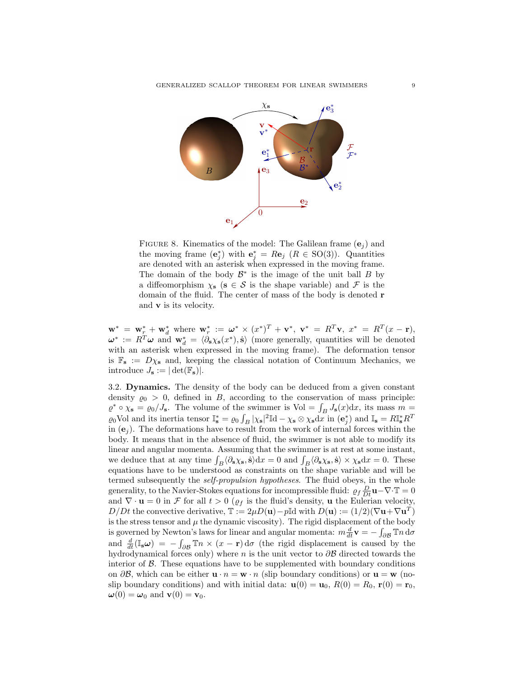

FIGURE 8. Kinematics of the model: The Galilean frame  $(e_i)$  and the moving frame  $(\mathbf{e}_j^*)$  with  $\mathbf{e}_j^* = R\mathbf{e}_j$   $(R \in SO(3))$ . Quantities are denoted with an asterisk when expressed in the moving frame. The domain of the body  $\mathcal{B}^*$  is the image of the unit ball  $B$  by a diffeomorphism  $\chi_{s}$  ( $s \in S$  is the shape variable) and F is the domain of the fluid. The center of mass of the body is denoted r and  $\bf{v}$  is its velocity.

 $\mathbf{w}^* = \mathbf{w}_r^* + \mathbf{w}_d^*$  where  $\mathbf{w}_r^* := \boldsymbol{\omega}^* \times (x^*)^T + \mathbf{v}^*, \ \mathbf{v}^* = R^T \mathbf{v}, \ x^* = R^T (x - \mathbf{r}),$  $\boldsymbol{\omega}^* := R^T \boldsymbol{\omega}$  and  $\mathbf{w}_d^* = \langle \partial_s \chi_s(\boldsymbol{x}^*), \dot{\mathbf{s}} \rangle$  (more generally, quantities will be denoted with an asterisk when expressed in the moving frame). The deformation tensor is  $\mathbb{F}_s := D\chi_s$  and, keeping the classical notation of Continuum Mechanics, we introduce  $J_{\mathbf{s}} := |\det(\mathbb{F}_{\mathbf{s}})|.$ 

3.2. Dynamics. The density of the body can be deduced from a given constant density  $\varrho_0 > 0$ , defined in B, according to the conservation of mass principle:  $\varrho^* \circ \chi_s = \varrho_0 / J_s$ . The volume of the swimmer is Vol =  $\int_B J_s(x) dx$ , its mass  $m =$  $\varrho_0$ Vol and its inertia tensor  $\mathbb{I}_s^* = \varrho_0 \int_B |\chi_s|^2 \mathbb{I} \, \mathrm{d} - \chi_s \otimes \chi_s \, \mathrm{d}x$  in  $(\mathbf{e}_j^*)$  and  $\mathbb{I}_s = R \mathbb{I}_s^* R^T$ in  $(e_i)$ . The deformations have to result from the work of internal forces within the body. It means that in the absence of fluid, the swimmer is not able to modify its linear and angular momenta. Assuming that the swimmer is at rest at some instant, we deduce that at any time  $\int_B \langle \partial_s \chi_s, \dot{s} \rangle dx = 0$  and  $\int_B \langle \partial_s \chi_s, \dot{s} \rangle \times \chi_s dx = 0$ . These equations have to be understood as constraints on the shape variable and will be termed subsequently the self-propulsion hypotheses. The fluid obeys, in the whole generality, to the Navier-Stokes equations for incompressible fluid:  $\rho_f \frac{D}{Dt} \mathbf{u} - \nabla \cdot \mathbf{T} = 0$ and  $\nabla \cdot \mathbf{u} = 0$  in  $\mathcal F$  for all  $t > 0$  ( $\varrho_f$  is the fluid's density, **u** the Eulerian velocity, D/Dt the convective derivative,  $\mathbb{T} := 2\mu D(\mathbf{u}) - p\mathbb{I}d$  with  $D(\mathbf{u}) := (1/2)(\nabla \mathbf{u} + \nabla \mathbf{u}^T)$ is the stress tensor and  $\mu$  the dynamic viscosity). The rigid displacement of the body is governed by Newton's laws for linear and angular momenta:  $m \frac{d}{dt} \mathbf{v} = -\int_{\partial \mathcal{B}} \mathbb{T} n \, \mathrm{d}\sigma$ and  $\frac{d}{dt}(\mathbb{I}_{s}\boldsymbol{\omega}) = -\int_{\partial\mathcal{B}} \mathbb{T}n \times (x - \mathbf{r}) d\sigma$  (the rigid displacement is caused by the hydrodynamical forces only) where n is the unit vector to  $\partial \mathcal{B}$  directed towards the interior of  $\beta$ . These equations have to be supplemented with boundary conditions on  $\partial \mathcal{B}$ , which can be either  $\mathbf{u} \cdot n = \mathbf{w} \cdot n$  (slip boundary conditions) or  $\mathbf{u} = \mathbf{w}$  (noslip boundary conditions) and with initial data:  $\mathbf{u}(0) = \mathbf{u}_0$ ,  $R(0) = R_0$ ,  $\mathbf{r}(0) = \mathbf{r}_0$ ,  $\boldsymbol{\omega}(0) = \boldsymbol{\omega}_0$  and  $\mathbf{v}(0) = \mathbf{v}_0$ .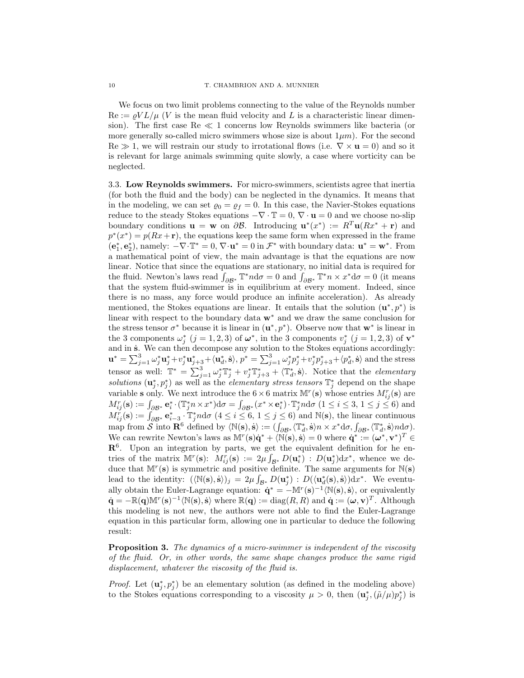We focus on two limit problems connecting to the value of the Reynolds number  $\text{Re} := \rho V L / \mu$  (V is the mean fluid velocity and L is a characteristic linear dimension). The first case  $\text{Re} \ll 1$  concerns low Reynolds swimmers like bacteria (or more generally so-called micro swimmers whose size is about  $1\mu m$ ). For the second  $\text{Re} \gg 1$ , we will restrain our study to irrotational flows (i.e.  $\nabla \times \mathbf{u} = 0$ ) and so it is relevant for large animals swimming quite slowly, a case where vorticity can be neglected.

3.3. Low Reynolds swimmers. For micro-swimmers, scientists agree that inertia (for both the fluid and the body) can be neglected in the dynamics. It means that in the modeling, we can set  $\varrho_0 = \varrho_f = 0$ . In this case, the Navier-Stokes equations reduce to the steady Stokes equations  $-\nabla \cdot \mathbb{T} = 0$ ,  $\nabla \cdot \mathbf{u} = 0$  and we choose no-slip boundary conditions  $\mathbf{u} = \mathbf{w}$  on  $\partial \mathcal{B}$ . Introducing  $\mathbf{u}^*(x^*) := R^T \mathbf{u}(Rx^* + \mathbf{r})$  and  $p^*(x^*) = p(Rx + r)$ , the equations keep the same form when expressed in the frame  $(e_1^*, e_2^*)$ , namely:  $-\nabla \cdot \mathbb{T}^* = 0$ ,  $\nabla \cdot \mathbf{u}^* = 0$  in  $\mathcal{F}^*$  with boundary data:  $\mathbf{u}^* = \mathbf{w}^*$ . From a mathematical point of view, the main advantage is that the equations are now linear. Notice that since the equations are stationary, no initial data is required for the fluid. Newton's laws read  $\int_{\partial \mathcal{B}^*} \mathbb{T}^* n \, d\sigma = 0$  and  $\int_{\partial \mathcal{B}^*} \mathbb{T}^* n \times x^* d\sigma = 0$  (it means that the system fluid-swimmer is in equilibrium at every moment. Indeed, since there is no mass, any force would produce an infinite acceleration). As already mentioned, the Stokes equations are linear. It entails that the solution  $(\mathbf{u}^*, p^*)$  is linear with respect to the boundary data w<sup>∗</sup> and we draw the same conclusion for the stress tensor  $\sigma^*$  because it is linear in  $(\mathbf{u}^*, p^*)$ . Observe now that  $\mathbf{w}^*$  is linear in the 3 components  $\omega_j^*$   $(j = 1, 2, 3)$  of  $\boldsymbol{\omega}^*$ , in the 3 components  $v_j^*$   $(j = 1, 2, 3)$  of  $\mathbf{v}^*$ and in s<sup>i</sup>. We can then decompose any solution to the Stokes equations accordingly:  $\mathbf{u}^* = \sum_{j=1}^3 \omega_j^* \mathbf{u}_j^* + \nu_j^* \mathbf{u}_{j+3}^* + \langle \mathbf{u}_d^*, \dot{\mathbf{s}} \rangle, p^* = \sum_{j=1}^3 \omega_j^* p_j^* + \nu_j^* p_{j+3}^* + \langle p_d^*, \dot{\mathbf{s}} \rangle$  and the stress tensor as well:  $\mathbb{T}^* = \sum_{j=1}^3 \omega_j^* \mathbb{T}_j^* + \nu_j^* \mathbb{T}_{j+3}^* + \langle \mathbb{T}_d^*, \dot{\mathbf{s}} \rangle$ . Notice that the *elementary* solutions  $(\mathbf{u}_j^*, p_j^*)$  as well as the *elementary stress tensors*  $\mathbb{T}_j^*$  depend on the shape variable **s** only. We next introduce the  $6 \times 6$  matrix  $M^{r}(s)$  whose entries  $M^{r}_{ij}(s)$  are  $M_{ij}^r(\mathbf{s}) := \int_{\partial \mathcal{B}^*} \mathbf{e}_i^* \cdot (\mathbb{T}_j^* n \times x^*) d\sigma = \int_{\partial \mathcal{B}^*} (x^* \times \mathbf{e}_i^*) \cdot \mathbb{T}_j^* n d\sigma \ (1 \le i \le 3, 1 \le j \le 6)$  and  $M_{ij}^r(\mathbf{s}) := \int_{\partial \mathcal{B}^*} \mathbf{e}_{i-3}^* \cdot \mathbb{T}_j^* n \mathrm{d}\sigma \ (4 \leq i \leq 6, 1 \leq j \leq 6)$  and  $\mathbb{N}(\mathbf{s})$ , the linear continuous map from  $S$  into  $\mathbf{R}^6$  defined by  $\langle \mathbb{N}(\mathbf{s}), \dot{\mathbf{s}} \rangle := (\int_{\partial \mathcal{B}^*} \langle \mathbb{T}_d^*, \dot{\mathbf{s}} \rangle n \times x^* d\sigma, \int_{\partial \mathcal{B}^*} \langle \mathbb{T}_d^*, \dot{\mathbf{s}} \rangle n d\sigma).$ We can rewrite Newton's laws as  $M^{r}(s)\dot{q}^* + \langle \tilde{N}(s), \dot{s} \rangle = 0$  where  $\dot{q}^* := (\omega^*, v^*)^T \in$  $\mathbb{R}^6$ . Upon an integration by parts, we get the equivalent definition for he entries of the matrix  $\mathbb{M}^r(\mathbf{s})$ :  $M_{ij}^r(\mathbf{s}) := 2\mu \int_{\mathcal{B}^*} D(\mathbf{u}_i^*) : D(\mathbf{u}_j^*) dx^*$ , whence we deduce that  $\mathbb{M}^r(\mathbf{s})$  is symmetric and positive definite. The same arguments for  $\mathbb{N}(\mathbf{s})$ lead to the identity:  $(\langle N(s), \dot{s} \rangle)_j = 2\mu \int_{\mathcal{B}^*} D(\mathbf{u}_j^*) : D(\langle \mathbf{u}_d^*(s), \dot{s} \rangle) dx^*$ . We eventually obtain the Euler-Lagrange equation:  $\dot{\mathbf{q}}^* = -\mathbb{M}^r(\mathbf{s})^{-1}\langle \mathbb{N}(\mathbf{s}), \dot{\mathbf{s}} \rangle$ , or equivalently  $\dot{\mathbf{q}} = -\mathbb{R}(\mathbf{q})\mathbb{M}^r(\mathbf{s})^{-1}\langle \mathbb{N}(\mathbf{s}), \dot{\mathbf{s}} \rangle$  where  $\mathbb{R}(\mathbf{q}) := \text{diag}(R, R)$  and  $\dot{\mathbf{q}} := (\boldsymbol{\omega}, \mathbf{v})^T$ . Although this modeling is not new, the authors were not able to find the Euler-Lagrange equation in this particular form, allowing one in particular to deduce the following result:

**Proposition 3.** The dynamics of a micro-swimmer is independent of the viscosity of the fluid. Or, in other words, the same shape changes produce the same rigid displacement, whatever the viscosity of the fluid is.

*Proof.* Let  $(\mathbf{u}_j^*, p_j^*)$  be an elementary solution (as defined in the modeling above) to the Stokes equations corresponding to a viscosity  $\mu > 0$ , then  $(\mathbf{u}_j^*, (\tilde{\mu}/\mu)p_j^*)$  is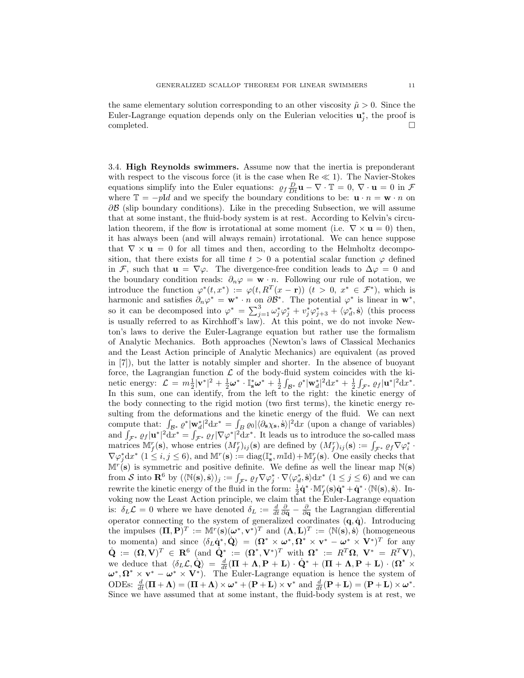the same elementary solution corresponding to an other viscosity  $\tilde{\mu} > 0$ . Since the Euler-Lagrange equation depends only on the Eulerian velocities  $\mathbf{u}_j^*$ , the proof is  $\Box$ completed.  $\Box$ 

3.4. High Reynolds swimmers. Assume now that the inertia is preponderant with respect to the viscous force (it is the case when  $Re \ll 1$ ). The Navier-Stokes equations simplify into the Euler equations:  $\rho_f \frac{D}{Dt} \mathbf{u} - \nabla \cdot \mathbf{T} = 0$ ,  $\nabla \cdot \mathbf{u} = 0$  in  $\mathcal F$ where  $\mathbb{T} = -pId$  and we specify the boundary conditions to be:  $\mathbf{u} \cdot n = \mathbf{w} \cdot n$  on  $\partial \mathcal{B}$  (slip boundary conditions). Like in the preceding Subsection, we will assume that at some instant, the fluid-body system is at rest. According to Kelvin's circulation theorem, if the flow is irrotational at some moment (i.e.  $\nabla \times \mathbf{u} = 0$ ) then, it has always been (and will always remain) irrotational. We can hence suppose that  $\nabla \times \mathbf{u} = 0$  for all times and then, according to the Helmholtz decomposition, that there exists for all time  $t > 0$  a potential scalar function  $\varphi$  defined in F, such that  $\mathbf{u} = \nabla \varphi$ . The divergence-free condition leads to  $\Delta \varphi = 0$  and the boundary condition reads:  $\partial_n \varphi = \mathbf{w} \cdot n$ . Following our rule of notation, we introduce the function  $\varphi^*(t, x^*) := \varphi(t, R^T(x - \mathbf{r}))$   $(t > 0, x^* \in \mathcal{F}^*)$ , which is harmonic and satisfies  $\partial_n \varphi^* = \mathbf{w}^* \cdot n$  on  $\partial \mathcal{B}^*$ . The potential  $\varphi^*$  is linear in  $\mathbf{w}^*$ , so it can be decomposed into  $\varphi^* = \sum_{j=1}^3 \omega_j^* \varphi_j^* + v_j^* \varphi_{j+3}^* + \langle \varphi_d^*, \dot{\mathbf{s}} \rangle$  (this process is usually referred to as Kirchhoff's law). At this point, we do not invoke Newton's laws to derive the Euler-Lagrange equation but rather use the formalism of Analytic Mechanics. Both approaches (Newton's laws of Classical Mechanics and the Least Action principle of Analytic Mechanics) are equivalent (as proved in [7]), but the latter is notably simpler and shorter. In the absence of buoyant force, the Lagrangian function  $\mathcal L$  of the body-fluid system coincides with the kinetic energy:  $\mathcal{L} = m\frac{1}{2}|\mathbf{v}^*|^2 + \frac{1}{2}\boldsymbol{\omega}^* \cdot \mathbb{I}_{\mathbf{s}}^*\boldsymbol{\omega}^* + \frac{1}{2}\int_{\mathcal{B}^*}\varrho^*|\mathbf{w}_d^*|^2\mathrm{d}x^* + \frac{1}{2}\int_{\mathcal{F}^*}\varrho_f|\mathbf{u}^*|^2\mathrm{d}x^*.$ In this sum, one can identify, from the left to the right: the kinetic energy of the body connecting to the rigid motion (two first terms), the kinetic energy resulting from the deformations and the kinetic energy of the fluid. We can next compute that:  $\int_{\mathcal{B}^*} \varrho^* |\mathbf{w}_d^*|^2 \, dx^* = \int_{\mathcal{B}} \varrho_0 |\langle \partial_s \chi_s, \dot{s} \rangle|^2 \, dx$  (upon a change of variables) and  $\int_{\mathcal{F}^*} \varrho_f |\mathbf{u}^*|^2 dx^* = \int_{\mathcal{F}^*} \varrho_f |\nabla \varphi^*|^2 dx^*$ . It leads us to introduce the so-called mass matrices  $\mathbb{M}_{f}^{r}(\mathbf{s})$ , whose entries  $(M_{f}^{r})_{ij}(\mathbf{s})$  are defined by  $(M_{f}^{r})_{ij}(\mathbf{s}) := \int_{\mathcal{F}^{*}} \varrho_{f} \nabla \varphi_{i}^{*}$ .  $\nabla \varphi_j^* dx^*$  (1  $\leq i, j \leq 6$ ), and  $\mathbb{M}^r(\mathbf{s}) := \text{diag}(\mathbb{I}_{\mathbf{s}}^*, m \mathbb{I}_{\mathbf{d}}) + \mathbb{M}_{f}^r(\mathbf{s})$ . One easily checks that  $\mathbb{M}^r(\mathbf{s})$  is symmetric and positive definite. We define as well the linear map  $\mathbb{N}(\mathbf{s})$ from S into  $\mathbf{R}^6$  by  $(\langle \mathbb{N}(s), \dot{s} \rangle)_j := \int_{\mathcal{F}^*} \varrho_f \nabla \varphi_j^* \cdot \nabla \langle \varphi_d^*, \dot{s} \rangle dx^*$   $(1 \leq j \leq 6)$  and we can rewrite the kinetic energy of the fluid in the form:  $\frac{1}{2}\dot{\mathbf{q}}^* \cdot \mathbb{M}_f^r(\mathbf{s})\dot{\mathbf{q}}^* + \dot{\mathbf{q}}^* \cdot \langle \mathbb{N}(\mathbf{s}), \dot{\mathbf{s}} \rangle$ . Invoking now the Least Action principle, we claim that the Euler-Lagrange equation is:  $\delta_L \mathcal{L} = 0$  where we have denoted  $\delta_L := \frac{d}{dt} \frac{\partial}{\partial \dot{q}} - \frac{\partial}{\partial q}$  the Lagrangian differential operator connecting to the system of generalized coordinates  $(q, \dot{q})$ . Introducing the impulses  $(\Pi, \mathbf{P})^T := \mathbb{M}^r(\mathbf{s})(\boldsymbol{\omega}^*, \mathbf{v}^*)^T$  and  $(\boldsymbol{\Lambda}, \mathbf{L})^T := \langle \mathbb{N}(\mathbf{s}), \dot{\mathbf{s}} \rangle$  (homogeneous to momenta) and since  $\langle \delta_L \dot{\mathbf{q}}^*, \dot{\mathbf{Q}} \rangle = (\mathbf{\Omega}^* \times \boldsymbol{\omega}^*, \mathbf{\Omega}^* \times \mathbf{v}^* - \boldsymbol{\omega}^* \times \mathbf{V}^*)^T$  for any  $\dot{\mathbf{Q}} := (\mathbf{\Omega}, \mathbf{V})^T \in \mathbf{R}^6 \text{ (and } \dot{\mathbf{Q}}^* := (\mathbf{\Omega}^*, \mathbf{V}^*)^T \text{ with } \mathbf{\Omega}^* := R^T \mathbf{\Omega}, \ \mathbf{V}^* = R^T \mathbf{V},$ we deduce that  $\langle \delta_L \mathcal{L}, \dot{\mathbf{Q}} \rangle = \frac{d}{dt} (\mathbf{\Pi} + \mathbf{\Lambda}, \mathbf{P} + \mathbf{L}) \cdot \dot{\mathbf{Q}}^* + (\mathbf{\Pi} + \mathbf{\Lambda}, \mathbf{P} + \mathbf{L}) \cdot (\mathbf{\Omega}^* \times$  $\omega^*, \Omega^* \times \mathbf{v}^* - \omega^* \times \mathbf{V}^*$ . The Euler-Lagrange equation is hence the system of ODEs:  $\frac{d}{dt}(\mathbf{\Pi} + \mathbf{\Lambda}) = (\mathbf{\Pi} + \mathbf{\Lambda}) \times \boldsymbol{\omega}^* + (\mathbf{P} + \mathbf{L}) \times \mathbf{v}^*$  and  $\frac{d}{dt}(\mathbf{P} + \mathbf{L}) = (\mathbf{P} + \mathbf{L}) \times \boldsymbol{\omega}^*$ . Since we have assumed that at some instant, the fluid-body system is at rest, we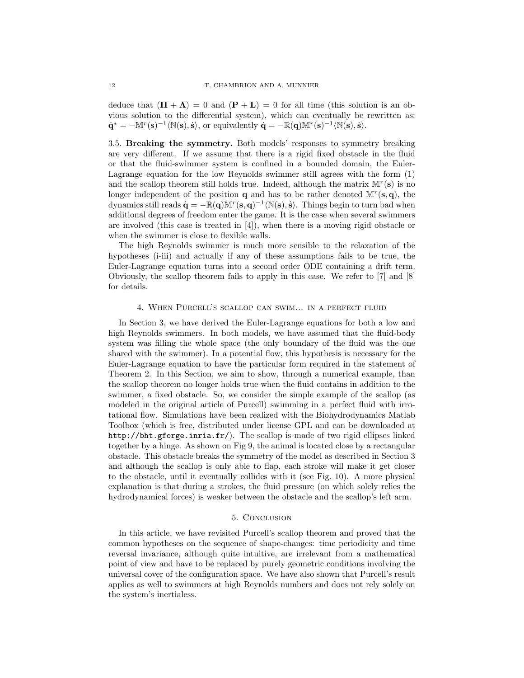deduce that  $(\mathbf{\Pi} + \mathbf{\Lambda}) = 0$  and  $(\mathbf{P} + \mathbf{L}) = 0$  for all time (this solution is an obvious solution to the differential system), which can eventually be rewritten as:  $\dot{\mathbf{q}}^* = -\mathbb{M}^r(\mathbf{s})^{-1}\langle \mathbb{N}(\mathbf{s}), \dot{\mathbf{s}} \rangle$ , or equivalently  $\dot{\mathbf{q}} = -\mathbb{R}(\mathbf{q})\mathbb{M}^r(\mathbf{s})^{-1}\langle \mathbb{N}(\mathbf{s}), \dot{\mathbf{s}} \rangle$ .

3.5. Breaking the symmetry. Both models' responses to symmetry breaking are very different. If we assume that there is a rigid fixed obstacle in the fluid or that the fluid-swimmer system is confined in a bounded domain, the Euler-Lagrange equation for the low Reynolds swimmer still agrees with the form (1) and the scallop theorem still holds true. Indeed, although the matrix  $\mathbb{M}^r(\mathbf{s})$  is no longer independent of the position **q** and has to be rather denoted  $\mathbb{M}^r(\mathbf{s}, \mathbf{q})$ , the dynamics still reads  $\dot{\mathbf{q}} = -\mathbb{R}(\mathbf{q})\mathbb{M}^r(\mathbf{s},\mathbf{q})^{-1}\langle \mathbb{N}(\mathbf{s}), \dot{\mathbf{s}} \rangle$ . Things begin to turn bad when additional degrees of freedom enter the game. It is the case when several swimmers are involved (this case is treated in [4]), when there is a moving rigid obstacle or when the swimmer is close to flexible walls.

The high Reynolds swimmer is much more sensible to the relaxation of the hypotheses (i-iii) and actually if any of these assumptions fails to be true, the Euler-Lagrange equation turns into a second order ODE containing a drift term. Obviously, the scallop theorem fails to apply in this case. We refer to [7] and [8] for details.

#### 4. When Purcell's scallop can swim... in a perfect fluid

In Section 3, we have derived the Euler-Lagrange equations for both a low and high Reynolds swimmers. In both models, we have assumed that the fluid-body system was filling the whole space (the only boundary of the fluid was the one shared with the swimmer). In a potential flow, this hypothesis is necessary for the Euler-Lagrange equation to have the particular form required in the statement of Theorem 2. In this Section, we aim to show, through a numerical example, than the scallop theorem no longer holds true when the fluid contains in addition to the swimmer, a fixed obstacle. So, we consider the simple example of the scallop (as modeled in the original article of Purcell) swimming in a perfect fluid with irrotational flow. Simulations have been realized with the Biohydrodynamics Matlab Toolbox (which is free, distributed under license GPL and can be downloaded at http://bht.gforge.inria.fr/). The scallop is made of two rigid ellipses linked together by a hinge. As shown on Fig 9, the animal is located close by a rectangular obstacle. This obstacle breaks the symmetry of the model as described in Section 3 and although the scallop is only able to flap, each stroke will make it get closer to the obstacle, until it eventually collides with it (see Fig. 10). A more physical explanation is that during a strokes, the fluid pressure (on which solely relies the hydrodynamical forces) is weaker between the obstacle and the scallop's left arm.

#### 5. Conclusion

In this article, we have revisited Purcell's scallop theorem and proved that the common hypotheses on the sequence of shape-changes: time periodicity and time reversal invariance, although quite intuitive, are irrelevant from a mathematical point of view and have to be replaced by purely geometric conditions involving the universal cover of the configuration space. We have also shown that Purcell's result applies as well to swimmers at high Reynolds numbers and does not rely solely on the system's inertialess.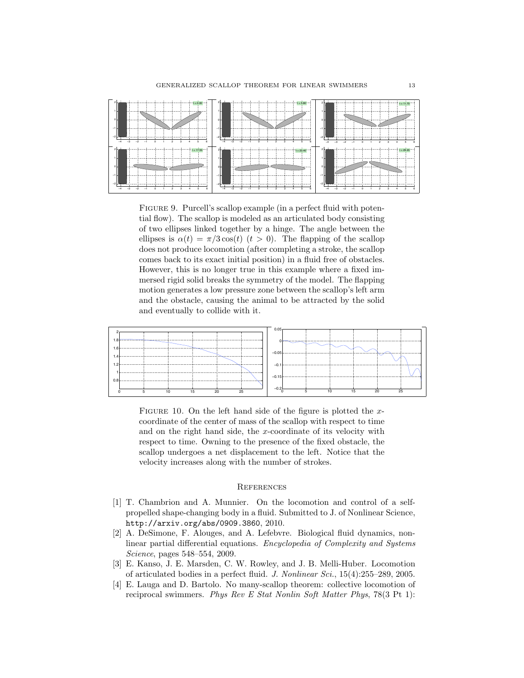

FIGURE 9. Purcell's scallop example (in a perfect fluid with potential flow). The scallop is modeled as an articulated body consisting of two ellipses linked together by a hinge. The angle between the ellipses is  $\alpha(t) = \pi/3 \cos(t)$   $(t > 0)$ . The flapping of the scallop does not produce locomotion (after completing a stroke, the scallop comes back to its exact initial position) in a fluid free of obstacles. However, this is no longer true in this example where a fixed immersed rigid solid breaks the symmetry of the model. The flapping motion generates a low pressure zone between the scallop's left arm and the obstacle, causing the animal to be attracted by the solid and eventually to collide with it.



FIGURE 10. On the left hand side of the figure is plotted the  $x$ coordinate of the center of mass of the scallop with respect to time and on the right hand side, the x-coordinate of its velocity with respect to time. Owning to the presence of the fixed obstacle, the scallop undergoes a net displacement to the left. Notice that the velocity increases along with the number of strokes.

#### **REFERENCES**

- [1] T. Chambrion and A. Munnier. On the locomotion and control of a selfpropelled shape-changing body in a fluid. Submitted to J. of Nonlinear Science, http://arxiv.org/abs/0909.3860, 2010.
- [2] A. DeSimone, F. Alouges, and A. Lefebvre. Biological fluid dynamics, nonlinear partial differential equations. Encyclopedia of Complexity and Systems Science, pages 548–554, 2009.
- [3] E. Kanso, J. E. Marsden, C. W. Rowley, and J. B. Melli-Huber. Locomotion of articulated bodies in a perfect fluid. J. Nonlinear Sci., 15(4):255–289, 2005.
- [4] E. Lauga and D. Bartolo. No many-scallop theorem: collective locomotion of reciprocal swimmers. Phys Rev E Stat Nonlin Soft Matter Phys. 78(3 Pt 1):